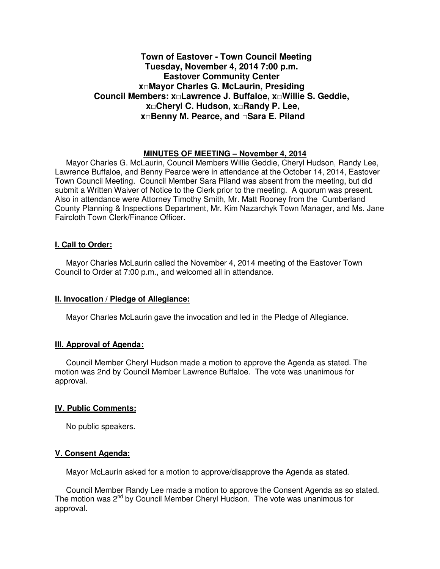# **Town of Eastover - Town Council Meeting Tuesday, November 4, 2014 7:00 p.m. Eastover Community Center x□Mayor Charles G. McLaurin, Presiding Council Members: x□Lawrence J. Buffaloe, x□Willie S. Geddie, x□Cheryl C. Hudson, x□Randy P. Lee, x□Benny M. Pearce, and □Sara E. Piland**

# **MINUTES OF MEETING – November 4, 2014**

Mayor Charles G. McLaurin, Council Members Willie Geddie, Cheryl Hudson, Randy Lee, Lawrence Buffaloe, and Benny Pearce were in attendance at the October 14, 2014, Eastover Town Council Meeting. Council Member Sara Piland was absent from the meeting, but did submit a Written Waiver of Notice to the Clerk prior to the meeting. A quorum was present. Also in attendance were Attorney Timothy Smith, Mr. Matt Rooney from the Cumberland County Planning & Inspections Department, Mr. Kim Nazarchyk Town Manager, and Ms. Jane Faircloth Town Clerk/Finance Officer.

# **I. Call to Order:**

Mayor Charles McLaurin called the November 4, 2014 meeting of the Eastover Town Council to Order at 7:00 p.m., and welcomed all in attendance.

# **II. Invocation / Pledge of Allegiance:**

Mayor Charles McLaurin gave the invocation and led in the Pledge of Allegiance.

# **III. Approval of Agenda:**

 Council Member Cheryl Hudson made a motion to approve the Agenda as stated. The motion was 2nd by Council Member Lawrence Buffaloe. The vote was unanimous for approval.

### **IV. Public Comments:**

No public speakers.

### **V. Consent Agenda:**

Mayor McLaurin asked for a motion to approve/disapprove the Agenda as stated.

 Council Member Randy Lee made a motion to approve the Consent Agenda as so stated. The motion was  $2^{nd}$  by Council Member Cheryl Hudson. The vote was unanimous for approval.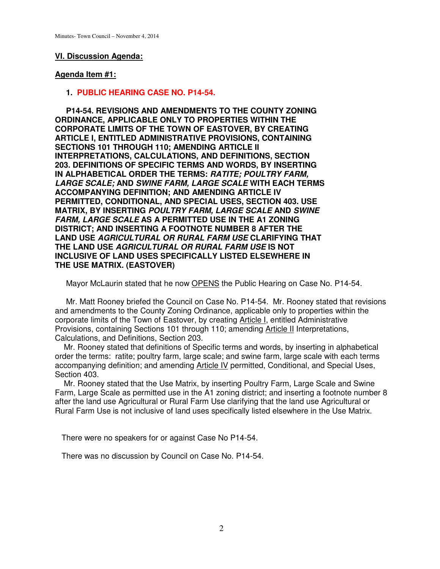# **VI. Discussion Agenda:**

# **Agenda Item #1:**

### **1. PUBLIC HEARING CASE NO. P14-54.**

 **P14-54. REVISIONS AND AMENDMENTS TO THE COUNTY ZONING ORDINANCE, APPLICABLE ONLY TO PROPERTIES WITHIN THE CORPORATE LIMITS OF THE TOWN OF EASTOVER, BY CREATING ARTICLE I, ENTITLED ADMINISTRATIVE PROVISIONS, CONTAINING SECTIONS 101 THROUGH 110; AMENDING ARTICLE II INTERPRETATIONS, CALCULATIONS, AND DEFINITIONS, SECTION 203. DEFINITIONS OF SPECIFIC TERMS AND WORDS, BY INSERTING IN ALPHABETICAL ORDER THE TERMS: RATITE; POULTRY FARM, LARGE SCALE; AND SWINE FARM, LARGE SCALE WITH EACH TERMS ACCOMPANYING DEFINITION; AND AMENDING ARTICLE IV PERMITTED, CONDITIONAL, AND SPECIAL USES, SECTION 403. USE MATRIX, BY INSERTING POULTRY FARM, LARGE SCALE AND SWINE FARM, LARGE SCALE AS A PERMITTED USE IN THE A1 ZONING DISTRICT; AND INSERTING A FOOTNOTE NUMBER 8 AFTER THE LAND USE AGRICULTURAL OR RURAL FARM USE CLARIFYING THAT THE LAND USE AGRICULTURAL OR RURAL FARM USE IS NOT INCLUSIVE OF LAND USES SPECIFICALLY LISTED ELSEWHERE IN THE USE MATRIX. (EASTOVER)**

Mayor McLaurin stated that he now **OPENS** the Public Hearing on Case No. P14-54.

 Mr. Matt Rooney briefed the Council on Case No. P14-54. Mr. Rooney stated that revisions and amendments to the County Zoning Ordinance, applicable only to properties within the corporate limits of the Town of Eastover, by creating Article I, entitled Administrative Provisions, containing Sections 101 through 110; amending Article II Interpretations, Calculations, and Definitions, Section 203.

 Mr. Rooney stated that definitions of Specific terms and words, by inserting in alphabetical order the terms: ratite; poultry farm, large scale; and swine farm, large scale with each terms accompanying definition; and amending Article IV permitted, Conditional, and Special Uses, Section 403.

 Mr. Rooney stated that the Use Matrix, by inserting Poultry Farm, Large Scale and Swine Farm, Large Scale as permitted use in the A1 zoning district; and inserting a footnote number 8 after the land use Agricultural or Rural Farm Use clarifying that the land use Agricultural or Rural Farm Use is not inclusive of land uses specifically listed elsewhere in the Use Matrix.

There were no speakers for or against Case No P14-54.

There was no discussion by Council on Case No. P14-54.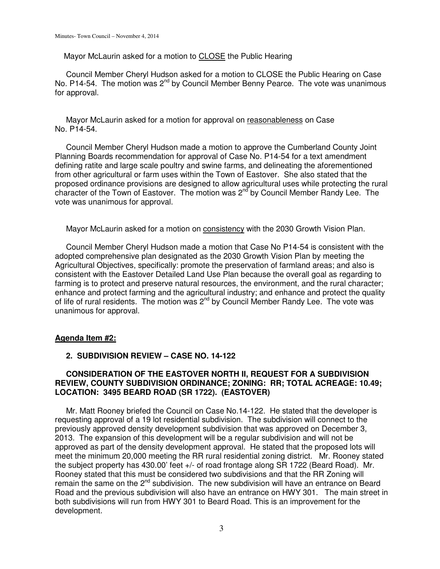Mayor McLaurin asked for a motion to CLOSE the Public Hearing

 Council Member Cheryl Hudson asked for a motion to CLOSE the Public Hearing on Case No. P14-54. The motion was  $2^{nd}$  by Council Member Benny Pearce. The vote was unanimous for approval.

 Mayor McLaurin asked for a motion for approval on reasonableness on Case No. P14-54.

 Council Member Cheryl Hudson made a motion to approve the Cumberland County Joint Planning Boards recommendation for approval of Case No. P14-54 for a text amendment defining ratite and large scale poultry and swine farms, and delineating the aforementioned from other agricultural or farm uses within the Town of Eastover. She also stated that the proposed ordinance provisions are designed to allow agricultural uses while protecting the rural character of the Town of Eastover. The motion was  $2<sup>nd</sup>$  by Council Member Randy Lee. The vote was unanimous for approval.

Mayor McLaurin asked for a motion on consistency with the 2030 Growth Vision Plan.

 Council Member Cheryl Hudson made a motion that Case No P14-54 is consistent with the adopted comprehensive plan designated as the 2030 Growth Vision Plan by meeting the Agricultural Objectives, specifically: promote the preservation of farmland areas; and also is consistent with the Eastover Detailed Land Use Plan because the overall goal as regarding to farming is to protect and preserve natural resources, the environment, and the rural character; enhance and protect farming and the agricultural industry; and enhance and protect the quality of life of rural residents. The motion was 2<sup>nd</sup> by Council Member Randy Lee. The vote was unanimous for approval.

### **Agenda Item #2:**

# **2. SUBDIVISION REVIEW – CASE NO. 14-122**

# **CONSIDERATION OF THE EASTOVER NORTH II, REQUEST FOR A SUBDIVISION REVIEW, COUNTY SUBDIVISION ORDINANCE; ZONING: RR; TOTAL ACREAGE: 10.49; LOCATION: 3495 BEARD ROAD (SR 1722). (EASTOVER)**

 Mr. Matt Rooney briefed the Council on Case No.14-122. He stated that the developer is requesting approval of a 19 lot residential subdivision. The subdivision will connect to the previously approved density development subdivision that was approved on December 3, 2013. The expansion of this development will be a regular subdivision and will not be approved as part of the density development approval. He stated that the proposed lots will meet the minimum 20,000 meeting the RR rural residential zoning district. Mr. Rooney stated the subject property has 430.00' feet +/- of road frontage along SR 1722 (Beard Road). Mr. Rooney stated that this must be considered two subdivisions and that the RR Zoning will remain the same on the  $2^{nd}$  subdivision. The new subdivision will have an entrance on Beard Road and the previous subdivision will also have an entrance on HWY 301. The main street in both subdivisions will run from HWY 301 to Beard Road. This is an improvement for the development.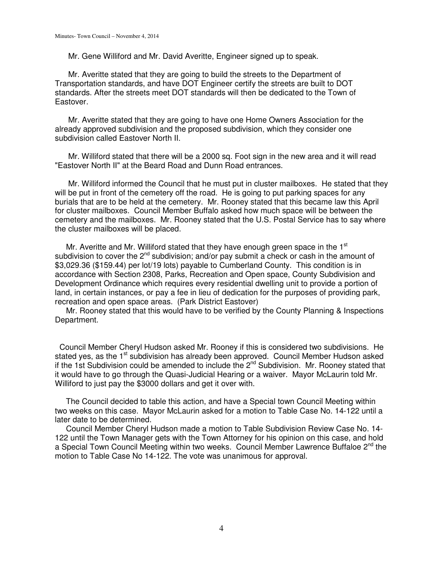Mr. Gene Williford and Mr. David Averitte, Engineer signed up to speak.

 Mr. Averitte stated that they are going to build the streets to the Department of Transportation standards, and have DOT Engineer certify the streets are built to DOT standards. After the streets meet DOT standards will then be dedicated to the Town of Eastover.

Mr. Averitte stated that they are going to have one Home Owners Association for the already approved subdivision and the proposed subdivision, which they consider one subdivision called Eastover North II.

 Mr. Williford stated that there will be a 2000 sq. Foot sign in the new area and it will read "Eastover North II" at the Beard Road and Dunn Road entrances.

 Mr. Williford informed the Council that he must put in cluster mailboxes. He stated that they will be put in front of the cemetery off the road. He is going to put parking spaces for any burials that are to be held at the cemetery. Mr. Rooney stated that this became law this April for cluster mailboxes. Council Member Buffalo asked how much space will be between the cemetery and the mailboxes. Mr. Rooney stated that the U.S. Postal Service has to say where the cluster mailboxes will be placed.

Mr. Averitte and Mr. Williford stated that they have enough green space in the  $1<sup>st</sup>$ subdivision to cover the 2<sup>nd</sup> subdivision; and/or pay submit a check or cash in the amount of \$3,029.36 (\$159.44) per lot/19 lots) payable to Cumberland County. This condition is in accordance with Section 2308, Parks, Recreation and Open space, County Subdivision and Development Ordinance which requires every residential dwelling unit to provide a portion of land, in certain instances, or pay a fee in lieu of dedication for the purposes of providing park, recreation and open space areas. (Park District Eastover)

 Mr. Rooney stated that this would have to be verified by the County Planning & Inspections Department.

 Council Member Cheryl Hudson asked Mr. Rooney if this is considered two subdivisions. He stated yes, as the 1<sup>st</sup> subdivision has already been approved. Council Member Hudson asked if the 1st Subdivision could be amended to include the 2<sup>nd</sup> Subdivision. Mr. Rooney stated that it would have to go through the Quasi-Judicial Hearing or a waiver. Mayor McLaurin told Mr. Williford to just pay the \$3000 dollars and get it over with.

 The Council decided to table this action, and have a Special town Council Meeting within two weeks on this case. Mayor McLaurin asked for a motion to Table Case No. 14-122 until a later date to be determined.

 Council Member Cheryl Hudson made a motion to Table Subdivision Review Case No. 14- 122 until the Town Manager gets with the Town Attorney for his opinion on this case, and hold a Special Town Council Meeting within two weeks. Council Member Lawrence Buffaloe 2<sup>nd</sup> the motion to Table Case No 14-122. The vote was unanimous for approval.